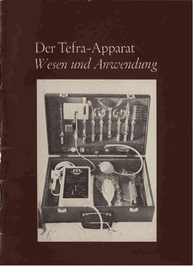# Der Tefra-Apparat Wesen und Anwendung

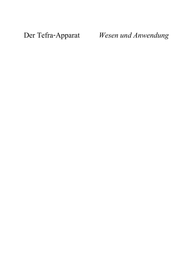Der Tefra-Apparat

Wesen und Anwendung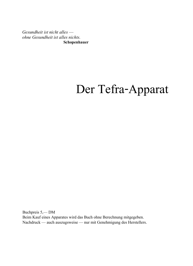Gesundheit ist nicht alles ohne Gesundheit ist alles nichts. Schopenhauer

## Der Tefra-Apparat

Buchpreis 5,-DM Beim Kauf eines Apparates wird das Buch ohne Berechnung mitgegeben. Nachdruck — auch auszugsweise — nur mit Genehmigung des Herstellers.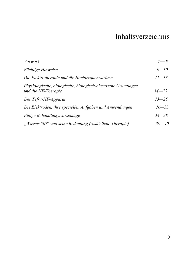### Inhaltsverzeichnis

| Vorwort                                                                             | $7 - 8$   |
|-------------------------------------------------------------------------------------|-----------|
| Wichtige Hinweise                                                                   | $9 - 10$  |
| Die Elektrotherapie und die Hochfrequenzströme                                      | $11 - 13$ |
| Physiologische, biologische, biologisch-chemische Grundlagen<br>und die HF-Therapie | $14 - 22$ |
| Der Tefra-HF-Apparat                                                                | $23 - 25$ |
| Die Elektroden, ihre speziellen Aufgaben und Anwendungen                            | $26 - 33$ |
| Einige Behandlungsvorschläge                                                        | $34 - 38$ |
| "Wasser 507" und seine Bedeutung (zusätzliche Therapie)                             | $39 - 40$ |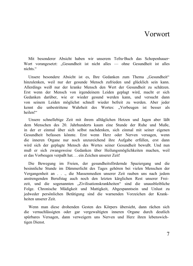### <span id="page-8-0"></span>Vorwort

Mit besonderer Absicht haben wir unserem Tefra-Buch das Schopenhauer-Wort vorangesetzt: "Gesundheit ist nicht alles — ohne Gesundheit ist alles nichts "

Unsere besondere Absicht ist es. Ihre Gedanken zum Thema "Gesundheit"  $\hbar$ inzulenken, weil nur der gesunde Mensch zufrieden und glücklich sein kann. Allerdings weiß nur der kranke Mensch den Wert der Gesundheit zu schätzen. Erst wenn der Mensch von irgendeinem Leiden geplagt wird, macht er sich Gedanken darüber, wie er wieder gesund werden kann, und versucht dann von seinem Leiden möglichst schnell wieder befreit zu werden. Aber jeder kennt die unbestrittene Wahrheit des Wortes: "Vorbeugen ist besser als heilen!"

Unsere schnellebige Zeit mit ihrem alltäglichen Hetzen und Jagen aber läßt dem Menschen des 20. Jahrhunderts kaum eine Stunde der Ruhe und Muße, in der er einmal über sich selbst nachdenken, sich einmal mit seiner eigenen Gesundheit befassen könnte. Erst wenn Herz oder Nerven versagen, wenn die inneren Organe nur noch unzureichend ihre Aufgabe erfüllen, erst dann wird sich der geplagte Mensch des Wertes seiner Gesundheit bewußt. Und nun  $m\nu\beta$  er sich zwangsweise Gedanken über Heilungsmöglichkeiten machen, weil er das Vorbeugen vernaßt hat... ein Zeichen unserer Zeit!

Die Bewegung im Freien, der gesundheitsfördernde Spaziergang und die besinnliche Stunde im Dämmerlicht des Tages gehören bei vielen Menschen der Vergangenheit an . . ., die Massenmedien unserer Zeit rauben uns nach jedem anstrengenden Berufstag auch noch den letzten kärglichen Rest unserer Freizeit, und die sogenannten "Zivilisationskrankheiten" sind die unausbleibliche Folge. Chronische Müdigkeit und Mattigkeit, Abgespanntsein und Unlust zu iedweder persönlichen Betätigung sind die warnenden Vorzeichen der Krankheiten unserer Zeit

Wenn man diese drohenden Gesten des Körpers übersieht, dann rächen sich die vernachlässigten oder gar vergewaltigten inneren Organe durch deutlich spürbares Versagen, dann verweigern uns Nerven und Herz ihren lebenswichtigen Dienst.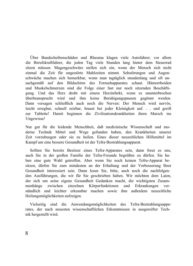Über Bandscheibenschäden und Rheuma klagen viele Autofahrer, vor allem die Berufskraftfahrer, die jeden Tag viele Stunden lang hinter dem Steuerrad sitzen müssen. Magengeschwüre stellen sich ein, wenn der Mensch sich nicht einmal die Zeit für ungestörte Mahlzeiten nimmt. Sehstörungen und Augenschwäche machen sich bemerkbar, wenn man tagtäglich stundenlang und oft unsachgemäß auf den Bildschirm des Fernsehapparates schaut. Hämorrhoiden und Muskelschmerzen sind die Folge einer fast nur noch sitzenden Beschäftigung. Und das Herz droht mit einem Herzinfarkt, wenn es ununterbrochen überbeansprucht wird und ihm keine Beruhigungspausen gegönnt werden. Dann versagen schließlich auch noch die Nerven: Der Mensch wird nervös, leicht erregbar, schnell reizbar, braust bei jeder Kleinigkeit auf. . . und greift zur Tablette! Damit beginnen die Zivilisationskrankheiten ihren Marsch ins Ungewisse!

Nur gut für die leidende Menschheit, daß medizinische Wissenschaft und moderne Technik Mittel und Wege gefunden haben, den Krankheiten unserer Zeit vorzubeugen oder sie zu heilen. Eines dieser neuzeitlichen Hilfsmittel im Kampf um eine bessere Gesundheit ist der Tefra-Bestrahlungsapparat.

Sollten Sie bereits Besitzer eines Tefra-Apparates sein, dann freut es uns, auch Sie in der großen Familie der Tefra-Freunde begrüßen zu dürfen. Sie haben eine gute Wahl getroffen. Aber wenn Sie noch keinen Tefra-Apparat be $s$ itzen, dürfen Sie zum mindesten an der Erhaltung und der Verbesserung Ihrer Gesundheit interessiert sein. Dann lesen Sie, bitte, auch noch die nachfolgenden Ausführungen, die wir für Sie geschrieben haben. Wir möchten dem Laien, der sich um seine eigene Gesundheit Gedanken macht, die wichtigsten Zusam- $\mathbf{S}\mathbf{B}$  menhänge zwischen einzelnen Körperfunktionen und Erkrankungen verständlich und leichter erkennbar machen sowie ihm außerdem neuzeitliche Heilungsmöglichkeiten aufzeigen.

Vielseitig sind die Anwendungsmöglichkeiten des Tefra-Bestrahlungsapparates, der nach neuesten wissenschaftlichen Erkenntnissen in ausgereifter Technik hergestellt wird.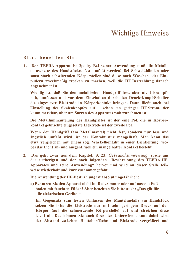### <span id="page-10-0"></span>**Wichtige Hinweise**

#### **Bitte heachten Sie:**

1. Der TEFRA-Apparat ist 2polig. Bei seiner Anwendung muß die Metallmanschette des Handstückes fest umfaßt werden! Bei Schweißhänden oder sonst stark schwitzenden Körperstellen sind diese nach Waschen oder Einpudern zweckmäßig trocken zu machen, weil die HF-Bestrahlung danach angenehmer ist.

Wichtig ist, daß Sie den metallischen Handgriff fest, aber nicht krampfhaft, umfassen und vor dem Einschalten durch den Druck-Knopf-Schalter die eingesetzte Elektrode in Körperkontakt bringen. Dann fließt auch bei Einstellung des Skalenknopfes auf 1 schon ein geringer HF-Strom, der kaum merkbar, aber am Surren des Apparates wahrzunehmen ist.

Die Metallummantelung des Handgriffes ist der eine Pol. die in Körnerkontakt gebrachte eingesetzte Elektrode ist der zweite Pol.

Wenn der Handgriff (am Metallmantel) nicht fest, sondern nur lose und ängstlich umfaßt wird, ist der Kontakt nur mangelhaft. Man kann das etwa vergleichen mit einem sog. Wackelkontakt in einer Lichtleitung, wobei das Licht an- und ausgeht, weil ein mangelhafter Kontakt besteht.

2. Das geht zwar aus dem Kapitel: S. 23. Gebrauchsanweisung, sowie aus der seitherigen und der noch folgenden "Beschreibung des TEFRA-HF-Apparates und seine Anwendung" hervor und wird an dieser Stelle teilweise wiederholt und kurz zusammengefaßt.

Die Anwendung der HF-Bestrahlung ist absolut ungefährlich:

a) Benutzen Sie den Apparat nicht im Badezimmer oder auf nassem Fußboden mit feuchten Füßen! Aber beachten Sie bitte auch: "Das gilt für alle elektrischen Geräte!"

Im Gegensatz zum festen Umfassen des Mantelmetalls am Handstück setzen Sie bitte die Elektrode nur mit sehr geringem Druck auf den Körper (auf die schmerzende Körperstelle) auf und streichen diese leicht ab. Das können Sie auch über der Unterwäsche tun; dabei wird der Abstand zwischen Hautoberfläche und Elektrode vergrößert und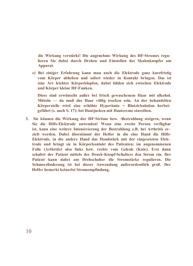die Wirkung verstärkt! Die angenehme Wirkung des HF-Stromes regulieren Sie dabei durch Drehen und Einstellen des Skalenknopfes am Apparat.

c) Bei einiger Erfahrung kann man auch die Elektrode ganz kurzfristig vom Körper abheben und sofort wieder in Kontakt bringen. Das ist eine Art leichtes Körperklopfen, dabei bilden sich zwischen Elektrode und Körper kleine HF-Funken.

Diese sind erwünscht außer bei frisch gewaschenem Haar mit alkohol.  $Mitteln$  da muß das Haar völlig trocken sein. An der behandelten **Körperstelle wird eine erhöhte Hyperämie = Blutzirkulation herbei**ecführt (s. auch S. 17); bei Hautiucken mit Hautcreme einreiben.

**3.** Sie können die Wirkung der HF-Ströme bzw. -Bestrahlung steigern, wenn Sie die Hilfs-Elektrode anwenden! Wenn eine zweite Person verfügbar **ist.** kann eine weitere Intensivierung der Bestrahlung z.B. bei Arthritis erzielt werden. Dabei übernimmt der Helfer in die eine Hand die Hilfs-**Elektrode, in die andere Hand das Handstück mit der eingesetzten Elek**trode und bringt sie in Körperkontakt des Patienten: im angenommenen **2** Falle (Arthritis) also links hzw. rechts vom Gelenk (Knie). Erst dann **PARAFER: 1** Schaltet der Patient mittels des Druck-Knopf-Schalters den Strom ein. Der Patient kann dabei am Drehschalter die Stromstärke regulieren. Die **Schmerzlinderung ist bei dieser Anwendung außerordentlich groß. Der Helfer bemerkt keinerlei Stromempfindung.**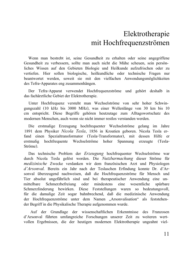### <span id="page-12-0"></span>Elektrotherapie mit Hochfrequenzströmen

Wenn man bestrebt ist, seine Gesundheit zu erhalten oder seine angegriffene Gesundheit zu verbessern, sollte man auch nicht die Mühe scheuen, sein persönliches Wissen auf den Gebieten Biologie und Heilkunde aufzufrischen oder zu vertiefen. Hier sollen biologische, heilkundliche oder technische Fragen nur beantwortet werden, soweit sie mit den vielfachen Anwendungsmöglichkeiten des Tefra-Apparates eng zusammenhängen.

Der Tefra-Apparat verwendet Hochfrequenzströme und gehört deshalb in das fachärztliche Gebiet der Elektrotherapie.

Unter Hochfrequenz versteht man Wechselströme von sehr hoher Schwingungszahl (10 kHz bis 3000 MHz), was einer Wellenlänge von 30 km bis 10 cm entspricht. Diese Begriffe gehören heutzutage zum Alltagswortschatz des  $mod$ ernen Menschen, auch wenn sie nicht immer restlos verstanden werden.

Die erstmalige Erzeugung hochfrequenter Wechselströme gelang im Jahre 1891 dem Physiker Nicola Tesla, 1856 in Kroatien geboren. Nicola Tesla erfand einen Spezialtransformator (Tesla-Transformator), mit dessen Hilfe er erstmalig hochfrequente Wechselströme hoher Spannung erzeugte (Tesla- $Str\ddot{o}$ me $)$ 

Das technische Problem der *Erzeugung* hochfrequenter Wechselströme war durch Nicola Tesla gelöst worden. Die Nutzbarmachung dieser Ströme für  $medizinische$  Zwecke verdanken wir dem französischen Arzt und Physiologen d'Arsonval. Bereits ein Jahr nach der Teslaschen Erfindung konnte Dr. d'Arsonval überzeugend nachweisen, daß die Hochfrequenzströme für Mensch und Tier absolut ungefährlich sind und bei therapeutischer Anwendung eine unmittelbare Schmerzbefreiung oder mindestens eine wesentliche spürbare Schmerzlinderung bewirken. Diese Feststellungen waren so bedeutungsvoll, für die damalige Zeit sogar bahnbrechend, daß die medizinische Anwendung der Hochfrequenzströme unter dem Namen "Arsonvalisation" als feststehender Begriff in die Physikalische Therapie aufgenommen wurde.

Auf der Grundlage der wissenschaftlichen Erkenntnisse des Franzosen d'Arsonyal führten umfangreiche Forschungen unserer Zeit zu weiteren wertvollen Ergebnissen, die der heutigen modernen Elektrotherapie ungeahnt viel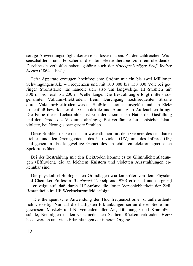seitige Anwendungsmöglichkeiten erschlossen haben. Zu den zahlreichen Wissenschaftlern und Forschern, die der Elektrotherapie zum entscheidenden Durchbruch verholfen haben, gehörte auch der Nobelpreisträger Prof. Walter *Nernst* (1864—1941).

Tefra-Apparate erzeugen hochfrequente Ströme mit ein bis zwei Millionen Schwingungen/Sek. = Frequenzen und mit  $100\,000$  bis  $150\,000$  Volt bei geringer Stromstärke. Es handelt sich also um langwellige HF-Strahlen mit  $300$  m bis herab zu  $200$  m Wellenlänge. Die Bestrahlung erfolgt mittels sogenannter Vakuum-Elektroden. Beim Durchgang hochfrequenter Ströme durch Vakuum-Elektroden werden Stoß-Ionisationen ausgelöst und ein Elektronenfluß bewirkt, der die Gasmoleküle und Atome zum Aufleuchten bringt. Die Farbe dieser Lichtstrahlen ist von der chemischen Natur der Gasfüllung und dem Grade des Vakuums abhängig. Bei verdünnter Luft entstehen blauviolette, bei Neongas orangerote Strahlen.

Diese Strahlen decken sich im wesentlichen mit dem Gebiete des sichtbaren Lichtes und den Grenzgebieten des Ultraviolett  $(UV)$  und des Infrarot  $(IR)$ und gehen in das langwellige Gebiet des unsichtbaren elektromagnetischen Spektrums über.

Bei der Bestrahlung mit den Elektroden kommt es zu Glimmlichtentladungen (Effluvien), die an leichtem Knistern und violetten Ausstrahlungen erkennbar sind.

Die physikalisch-biologischen Grundlagen wurden später von dem Physiker und Chemiker Professor W. Nernst (Nobelpreis 1920) erforscht und dargelegt - er zeigt auf, daß durch HF-Ströme die Ionen-Verschiebbarkeit der Zell-Bestandteile im HF-Wechselstromfeld erfolgt.

Die therapeutische Anwendung der Hochfrequenzströme ist außerordentlich vielseitig. Nur auf die häufigsten Erkrankungen sei an dieser Stelle hingewiesen: Muskel- und Nervenleiden aller Art, Lähmungs- und Krampfzustände. Neuralgien in den verschiedensten Stadien. Rückenmarkleiden. Herzbeschwerden und viele Erkrankungen der inneren Organe.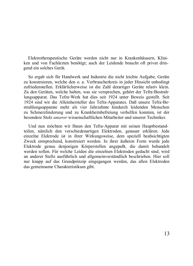Elektrotherapeutische Geräte werden nicht nur in Krankenhäusern, Kliniken und von Fachärzten benötigt; auch der Leidende braucht oft privat dringend ein solches Gerät.

So ergab sich für Handwerk und Industrie die nicht leichte Aufgabe, Geräte zu konstruieren, welche den o. a. Verbraucherkreis in jeder Hinsicht unbedingt zufriedenstellen. Erklärlicherweise ist die Zahl derartiger Geräte relativ klein. Zu den Geräten, welche halten, was sie versprechen, gehört der Tefra-Bestrahlungsapparat. Das Tefra-Werk hat dies seit 1924 unter Beweis gestellt. Seit 1924 sind wir die Alleinhersteller des Tefra-Apparates. Daß unsere Tefra-Bestrahlungsapparate mehr als vier Jahrzehnte hindurch leidenden Menschen zu Schmerzlinderung und zu Krankheitsbefreiung verhelfen konnten, ist der **Physondere Stolz** unserer wissenschaftlichen Mitarbeiter und unserer Techniker

Und nun möchten wir Ihnen den Tefra-Apparat mit seinen Hauptbestandteilen, nämlich den verschiedenartigen Elektroden, genauer erklären. Jede einzelne Elektrode ist in ihrer Wirkungsweise, dem speziell beabsichtigten Zweck entsprechend, konstruiert worden. In ihrer äußeren Form wurde jede Elektrode genau denjenigen Körperstellen angepaßt, die damit behandelt werden sollen. Für welche Leiden die einzelnen Elektroden gedacht sind, wird an anderer Stelle ausführlich und allgemeinverständlich beschrieben. Hier soll nur knapp auf das Grundprinzip eingegangen werden, das allen Elektroden das gemeinsame Charakteristikum gibt.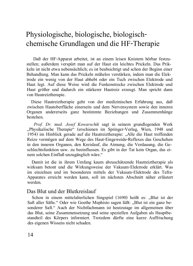### Physiologische, biologische, biologischchemische Grundlagen und die HF-Therapie

Daß der HF-Apparat arbeitet, ist an einem leisen Knistern hörbar festzustellen; außerdem verspürt man auf der Haut ein leichtes Prickeln. Das Prik- $\kappa$ eln ist nicht etwa nebensächlich; es ist beabsichtigt und schon der Beginn einer Behandlung, Man kann das Prickeln mühelos verstärken, indem man die Elektrode ein wenig von der Haut abhebt oder ein Tuch zwischen Elektrode und Haut legt. Auf diese Weise wird die Funkenstrecke zwischen Elektrode und Haut größer und dadurch ein stärkerer Hautreiz erzeugt. Man spricht dann von Hautreiztherapie.

Diese Hautreiztherapie geht von der medizinischen Erfahrung aus, daß zwischen Hautoberfläche einerseits und dem Nervensystem sowie den inneren Organen andererseits ganz bestimmte Beziehungen und Zusammenhänge bestehen.

Prof. Dr. med. Josef Kowarschik sagt in seinem grundlegenden Werk "Physikalische Therapie" (erschienen im Springer-Verlag, Wien, 1948 und 1954) im Hinblick gerade auf die Hautreiztherapie: "Alle die Haut treffenden Reize vermögen auf dem Wege des Haut-Eingeweide-Reflexes das Geschehen in den inneren Organen, den Kreislauf, die Atmung, die Verdauung, die Geschlechtsfunktion usw. zu beeinflussen. Es gibt in der Tat kein Organ, das einem solchen Einfluß unzugänglich wäre."

Damit ist die in ihrem Umfang kaum abzuschätzende Hautreiztherapie als wirksam betont und die Wirkungsweise der Vakuum-Elektrode erklärt. Was im einzelnen und im besonderen mittels der Vakuum-Elektrode des Tefra-Apparates erreicht werden kann, soll im nächsten Abschnitt näher erläutert werden

#### Das Blut und der Blutkreislauf

Schon in einem mittelalterlichen Singspiel  $(1690)$  heißt es: "Blut ist der Saft aller Säfte." Oder wie Goethe Mephisto sagen läßt: "Blut ist ein ganz besonderer Saft." Auch der Nichtfachmann ist heutzutage im allgemeinen über das Blut, seine Zusammensetzung und seine speziellen Aufgaben als Hauptbestandteil des Körpers informiert. Trotzdem dürfte eine kurze Auffrischung des eigenen Wissens nicht schaden.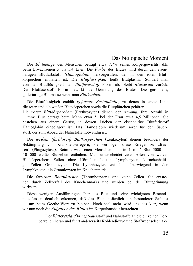### Das biologische Moment

Die *Blutmenge* des Menschen beträgt etwa 7,7% seines Körpergewichts, d.h. beim Erwachsenen 5 bis 5,4 Liter. Die *Farbe* des Blutes wird durch den eisenhaltigen Blutfarbstoff (Hämoglobin) hervorgerufen, der in den roten Blutkörperchen enthalten ist. Die *Blutflüssigkeit* heißt Blutplasma. Sondert man von der Blutflüssigkeit den Blutfaserstoff Fibrin ab, bleibt Blutserum zurück. Der Blutfaserstoff Fibrin bewirkt die Gerinnung des Blutes. Die geronnene, gallertartige Blutmasse nennt man Blutkuchen.

Die Blutflüssigkeit enthält geformte Bestandteile, zu denen in erster Linie die roten und die weißen Blutkörperchen sowie die Blutplättchen gehören.

Die roten Blutkörperchen (Erythrozyten) dienen der Atmung. Ihre Anzahl in 1 mm<sup>3</sup> Blut beträgt beim Mann etwa 5, bei der Frau etwa 4,5 Millionen. Sie bestehen aus einem Gerüst, in dessen Lücken der eisenhaltige Blutfarbstoff Hämoglobin eingelagert ist. Das Hämoglobin wiederum sorgt für den Sauerstoff, der zum Abbau der Nährstoffe notwendig ist.

Die weißen (farblosen) Blutkörperchen (Leukozyten) dienen besonders der Bekämpfung von Krankheitserregern; sie vermögen diese Erreger zu "fressen" (Phagozytose). Beim erwachsenen Menschen sind in 1 mm<sup>3</sup> Blut 5000 bis 10 000 weiße Blutzellen enthalten. Man unterscheidet zwei Arten von weißen Blutkörperchen: Zellen ohne Körnchen heißen Lymphozyten, körnchenhaltige Zellen Granulozyten. Die Lymphozyten entstehen überwiegend in den Lymphknoten, die Granulozyten im Knochenmark.

Die farblosen *Blutplättchen* (Thrombozyten) sind keine Zellen. Sie entstehen durch Zellzerfall des Knochenmarks und werden bei der Blutgerinnung wirksam

Diese wenigen Ausführungen über das Blut und seine wichtigsten Bestandteile lassen deutlich erkennen, daß das Blut tatsächlich ein besonderer Saft ist - um beim Goethe-Wort zu bleiben. Noch viel mehr wird uns das klar, wenn wir nun noch die Aufgaben des Blutes im Körperhaushalt betrachten.

> Der Blutkreislauf bringt Sauerstoff und Nährstoffe an die einzelnen Körperzellen heran und führt andererseits Kohlendioxyd und Stoffwechselschlak-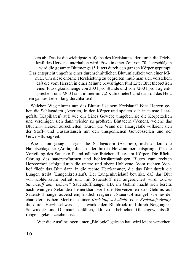ken ab. Das ist die wichtigste Aufgabe des Kreislaufes, der durch die Triebkraft des Herzens unterhalten wird. Etwa in einer Zeit von 70 Herzschlägen wird die gesamte Blutmenge (5 Liter) durch den ganzen Körper gepumpt. Das entspricht ungefähr einer durchschnittlichen Blutumlaufzeit von einer Minute. Um diese enorme Herzleistung zu begreifen, muß man sich vorstellen, daß die vom Herzen in einer Minute bewältigten fünf Liter Blut theoretisch einer Flüssigkeitsmenge von 300  $1\,\text{pro}$  Stunde und von 7200  $1\,\text{pro}$  Tag entand the theoretical contract the state of the state of the state of the state of the state of the state state state state state state state state state state state state state state state state state state state state stat ein ganzes Leben lang durchhalten!

Welchen Weg nimmt nun das Blut auf seinem Kreislauf? *Vorn* Herzen gehen die Schlagadern (Arterien) in den Körper und spalten sich in feinste Haargefäße (Kapillaren) auf: wie ein feines Gewebe umgeben sie die Körperzellen und vereinigen sich dann wieder zu größeren Blutadern (Venen), welche das Blut zum Herzen zurückleiten. Durch die Wand der Haargefäße vollzieht sich der Stoff- und Gasaustausch mit den umsponnenen Gewebszellen und der Gewebsflüssigkeit.

Wie schon gesagt, sorgen die Schlagadern (Arterien), insbesondere die Hauptschlagader (Aorta), die aus der linken Herzkammer entspringt, für die Verteilung des Sauerstoff- und nährstoffreichen Blutes im Körper. Die Rückführung des sauerstoffarmen und kohlensäurehaltigen Blutes zum rechten Herzvorhof erfolgt durch die untere und obere Hohlvene. Vom rechten Vorhof fließt das Blut dann in die rechte Herzkammer, die das Blut durch die Lungen treibt (Lungenkreislauf). Der Lungenkreislauf bewirkt, daß das Blut von Kohlensäure befreit und mit Sauerstoff neu angereichert wird. "Ohne *Bauerstoff kein Leben!"* Sauerstoffmangel z.B. im Gehirn macht sich bereits nach wenigen Sekunden bemerkbar, weil die Nervenzellen des Gehirns auf Sauerstoffmangel äußerst empfindlich reagieren. Sauerstoffmangel ist eines der charakteristischen Merkmale einer *Kreislauf schwäche* oder *Kreislaufstörung*, die durch Herzbeschwerden, schwankenden Blutdruck und durch Neigung zu Schwindel- und Ohnmachtsanfällen, d.h. zu erheblichen Gleichgewichtsstörungen, gekennzeichnet ist.

Wer die Ausführungen unter "Biologie" gelesen hat, wird leicht verstehen,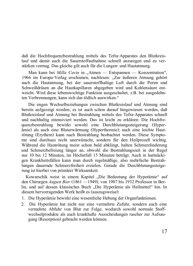daß die Hochfrequenzbestrahlung mittels des Tefra-Apparates den Blutkreislauf und damit auch die Sauerstoffaufnahme schnell anzuregen und zu verstärken vermag. Das gleiche gilt auch für die Lungen- und Hautatmung.

Man kann bei *Milla Cavin* in "Atmen — Entspannen — Konzentration", 1966 im Europa-Verlag erschienen, nachlesen: "Zur äußeren Atmung gehört auch die Hautatmung, bei der sauerstoffhaltige Luft durch die Poren und Schweißdrüsen an die Hautkapillaren abgegeben wird und Kohlensäure entweicht. Wird diese lebenswichtige Funktion ausgeschaltet, z.B. bei ausgedehnten Verbrennungen, kann sich das tödlich auswirken."

Die engen Wechselbeziehungen zwischen Blutkreislauf und Atmung sind bereits aufgezeigt worden; es ist auch schon darauf hingewiesen worden, daß Blutkreislauf und Atmung bei Bestrahlung mittels des Tefra-Apparates schnell und nachhaltig intensiviert werden. Das ist leicht zu erklären: Die Hochfrequenzbestrahlung bewirkt sowohl eine Durchblutungssteigerung (Hyperamie) als auch eine Bluterwärmung (Hyperthermie); auch eine leichte Hautrötung (Erythem) kann nach Bestrahlung beobachtet werden. Diese Symptome sind durchaus nicht unerwünscht, sondern für den Heilprozeß wichtig. Während die Hautrötung meist schon bald abklingt, halten Schmerzlinderung und Schmerzbefreiung länger an, obwohl die Bestrahlungszeit in der Regel nur 10 bis 12 Minuten, im Höchstfall 15 Minuten beträgt. Auch in hartnäckigen Krankheitsfällen kann man durch regelmäßige, also mehrfache Bestrahlungen dauernde Schmerzfreiheit erzielen. Gerade die Durchblutungssteigerung ist hierbei von primärer Wirksamkeit.

Kowarschik weist in einem Kapitel "Die Bedeutung der Hyperämie" auf den Chirurgen *August Bier* (1861 —1949), von 1907 bis 1932 Professor in Berlin, und auf dessen klassisches Buch "Die Hyperämie als Heilmittel" hin. In diesem hervorragenden Werk heißt es (auszugsweise):

- $1$ . Die Hyperämie bewirkt eine wesentliche Hebung der Organfunktionen.
- 2. Die Hyperämie hat nicht nur eine vermehrte Zufuhr, sondern auch eine vermehrte Abfuhr von Blut zur Folge, wodurch sowohl normale Stoffwechselprodukte als auch krankhafte Ausscheidungen rascher zur Aufsaugung (Resorption) gebracht werden können.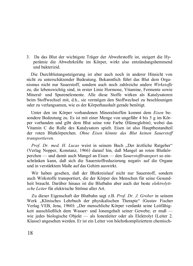3. Da das Blut der wichtigste Träger der Abwehrstoffe ist, steigert die Hyperämie die Abwehrkräfte im Körper, wirkt also entzündungshemmend und bakterizid.

Die Durchblutungssteigerung ist aber auch noch in anderer Hinsicht von  $n$ icht zu unterschätzender Bedeutung. Bekanntlich führt das Blut dem Orga $n$ ismus nicht nur Sauerstoff, sondern auch noch zahlreiche andere Wirkstoffe zu, die lebenswichtig sind, in erster Linie Hormone, Vitamine, Fermente sowie Mineral- und Spurenelemente. Alle diese Stoffe wirken als Katalysatoren beim Stoffwechsel mit, d.h., sie vermögen den Stoffwechsel zu beschleunigen oder zu verlangsamen, wie es der Körperhaushalt gerade benötigt.

Unter den im Körper vorhandenen Mineralstoffen kommt dem Eisen besondere Bedeutung zu. Es ist mit einer Menge von ungefähr 4 bis 5 g im Körper vorhanden und gibt dem Blut seine rote Farbe (Hämoglobin), wobei das Vitamin C die Rolle des Katalysators spielt. Eisen ist also Hauptbestandteil der roten Blutkörperchen. Ohne Eisen könnte das Blut keinen Sauerstoff *z transportieren.* 

*Prof. Dr. med. H. Lucas* weist in seinem Buch ..Der ärztliche Ratgeber" (Verlag Nopper, Konstanz, 1966) darauf hin, daß Mangel an roten Blutkör- $S$ <sup>D</sup>erchen — und damit auch Mangel an Eisen — den *Sauerstofftransport* so ein $s$ chränken kann, daß sich die Sauerstoffreduzierung negativ auf die Organe und in verstärktem Maße auf das Gehirn auswirkt.

Wir haben gesehen, daß der Blutkreislauf nicht nur Sauerstoff, sondern auch Wirkstoffe transportiert, die der Körper des Menschen für seine Gesundheit braucht. Darüber hinaus ist die Blutbahn aber auch der beste *elektrolyti-* $\emph{sche Leiter}$  für elektrische Ströme aller Art.

Zu dieser Eigenschaft der Blutbahn sagt z.B. Prof. Dr. J. Grober in seinem Werk "Klinisches Lehrbuch der physikalischen Therapie" (Gustav Fischer Verlag VEB, Jena, 1960): "Der menschliche Körper verdankt seine Leitfähigkeit ausschließlich dem Wasser- und Ionengehalt seiner Gewebe; er muß  $$ wie jedes biologische Objekt — als Ionenleiter oder als Elektrolyt (Leiter 2. Klasse) angesehen werden. Er ist ein Leiter von höchstkompliziertem chemisch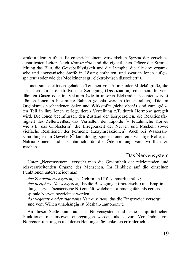strukturellem Aufbau. Er entspricht einem verwickelten System der verschiedenartigsten Leiter. Nach Kowarschik sind die eigentlichen Träger der Stromleitung das Blut, die Gewebsflüssigkeit und die Lymphe, die alle drei organische und anorganische Stoffe in Lösung enthalten, und zwar in Ionen aufgespalten" (oder wie der Mediziner sagt "elektrolytisch dissoziiert").

Ionen sind elektrisch geladene Teilchen von Atom- oder Molekülgröße, die u.a. auch durch elektrolytische Zerlegung (Dissoziation) entstehen. In verdünnten Gasen oder im Vakuum (wie in unseren Elektroden beachtet wurde)  $K\ddot{\circ}$ nnen Ionen in bestimmte Bahnen gelenkt werden (Ionenstrahlen). Die im Organismus vorhandenen Salze und Wirkstoffe (siehe oben!) sind zum größten Teil in ihre Ionen zerlegt, deren Verteilung z.T. durch Hormone geregelt wird. Die Ionen beeinflussen den Zustand der Körperzellen, die Reaktionsfähigkeit des Zelleiweißes, das Verhalten der Lipoide (= fettähnliche Körper wie z.B. das Cholesterin), die Erregbarkeit der Nerven und Muskeln sowie vielfache Reaktionen der Fermente (Enzymreaktionen). Auch bei Wasseransammlungen im Gewebe (Ödembildung) spielen Ionen eine wichtige Rolle; als Natrium-Ionen sind sie nämlich für die Ödembildung verantwortlich zu machen.

#### Das Nervensystem

Unter "Nervensystem" versteht man die Gesamtheit der reizleitenden und reizverarbeitenden Organe des Menschen. Im Hinblick auf die einzelnen  $F$ unktionen unterscheidet man $\cdot$ 

*das Zentralnervensystem.* das Gehirn und Rückenmark umfaßt: *das periphere Nervensystem, das die Bewegungs- (motorische) und Empfin*dungsnerven (sensorische N.) enthält, welche zusammengefaßt als cerebrospinale Nerven bezeichnet werden;

*das vegetative oder autonome Nervensystem*, das die Eingeweide versorgt und vom Willen unabhängig ist (deshalb "autonom").

An dieser Stelle kann auf das Nervensystem und seine hauptsächlichen Funktionen nur insoweit eingegangen werden, als es zum Verständnis von Nervenerkrankungen und deren Heilungsmöglichkeiten erforderlich ist.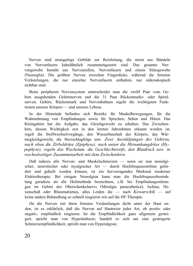Nerven sind strangartige Gebilde zur Reizleitung, die meist aus Bündeln von Nervenfasern kabelähnlich zusammengesetzt sind. Das gesamte Nervengewebe besteht aus Nervenzellen, Nervenfasern und einem Stützgewebe (Neuroglia). Die größten Nerven erreichen Fingerdicke, während die feinsten Verästelungen, die nur einzelne Nervenfasern enthalten, nur mikroskopisch sichtbar sind

Beim peripheren Nervensystem unterscheidet man die zwölf Paar vom Gehirn ausgehenden Gehirnnerven und die 31 Paar Rückenmarks- oder Spiralnerven. Gehirn, Rückenmark und Nervenbahnen regeln die wichtigsten Funktionen unseres Körpers - und unseres Lebens.

In der Hirnrinde befinden sich Bezirke für Muskelbewegungen, für die Wahrnehmung von Empfindungen sowie für Sprechen, Sehen und Hören. Das Kleingehirn hat die Aufgabe, das Gleichgewicht zu erhalten. Das Zwischenhirn, dessen Wichtigkeit erst in den letzten Jahrzehnten erkannt worden ist, regelt die Stoffwechselvorgänge, den Wasserhaushalt des Körpers, das Wärmegleichgewicht, die Herzschlagfolge usw. Zwei Ausstülpungen des Gehirns, nach oben die Zirbeldrüse (Epiphyse), nach unten die Hirnanhangdrüse (Hy*vophyse), regeln das Wachstum, die Geschlechtsreife, den Blutdruck usw. in* wechselseitiger Zusammenarbeit mit dem Zwischenhirn.

Daß nahezu alle Nerven- und Muskelschmerzen — seien sie nun neuralgischer, neurotischer oder myalgischer Art - durch Hochfrequenzströme gelindert und geheilt werden können, ist ein hervorragendes Merkmal moderner Elektrotherapie. Bei einigen Neuralgien kann man die Hochfrequenzbestrahlung geradezu als *die* Heilmethode bezeichnen, z.B. bei Empfindungsstörungen im Gebiet des Oberschenkelnerys (Meralgia paraesthetica), Ischias, He $f$ xenschuß oder Rheumatismus, alles Leiden die — nach *Kowarschik* — auf keine andere Behandlung so schnell reagieren wie auf die HF-Therapie.

Da die Nerven mit ihren feinsten Verästelungen dicht unter der Haut enden, ist es erklärlich, daß die Nerven auf Hautreize jeder Art, ob positiv oder negativ, empfindlich reagieren. Ist die Empfindlichkeit ganz allgemein gesteigert, spricht man von Hyperästhesie; handelt es sich um eine gesteigerte Schmerzempfindlichkeit, spricht man von Hyperalgesie.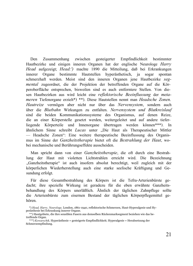Den Zusammenhang zwischen gesteigerter Empfindlichkeit bestimmter Hautbezirke und einigen inneren Organen hat der englische Neurologe *Harry Head* aufgezeigt; *Head:'*) machte 1890 die Mitteilung, daß bei Erkrankungen innerer Organe bestimmte Hautstellen hyperästhetisch, ja sogar spontan schmerzhaft werden. Meist sind den inneren Organen jene Hautbezirke seg-*Mental* zugeordnet, die der Projektion der betreffenden Organe auf die Körperoberfläche entsprechen, bisweilen sind es auch entferntere Stellen. Von diesen Hauthezirken aus wird leicht eine *reflektorische Beeinflussung* der *meta*meren Tiefenorgane erzielt\*) \*\*). Diese Hautstellen nennt man Headsche Zonen. *Hautreize* vermögen aber nicht nur über das *Nervensystem*, sondern auch über die Blutbahn Wirkungen zu entfalten. Nervensystem und Blutkreislauf sind die beiden Kommunikationssysteme des Organismus, auf denen Reize, die an einer Körperstelle gesetzt werden, weitergeleitet und auf andere tieferliegende Körperteile und Innenorgane übertragen werden können\*\*\*). In ähnlichem Sinne schreibt *Lucas* unter .Die Haut als Therapeutischer Mittler - Headsche Zonen": Eine weitere therapeutische Beeinflussung des Organis $mus$  im Sinne der *Ganzheitstherapie* bietet oft die *Bestrahlung der Haut*, wobei mechanische und Berührungseffekte ausscheiden.

Man spricht dann von einer *Ganzheitstherapie*, die oft durch eine Bestrahlung der Haut mit violetten Lichtstrahlen erreicht wird. Die Bezeichnung "Ganzheitstherapie" ist auch insofern absolut berechtigt, weil zugleich mit der körperlichen Wiederherstellung auch eine starke seelische Kräftigung und Gesundung erfolgt.

Für diese Gesamtbestrahlung des Körpers ist die Tefra-Arterienbürste gedacht; ihre spezielle Wirkung ist geradezu für die eben erwähnte Ganzheitsbehandlung des Körpers unerläßlich. Ähnlich der täglichen Zahnpflege sollte die Arterienbürste zum eisernen Bestand der täglichen Körperpflegemittel gehören

<sup>\*)</sup> Head, Harry, Neurologe, London, 1861-1940, reflektorische Schmerzen, Haut-Hyperalgesie und Hyperästhesie bei Erkrankung innerer Organe.

<sup>\*\*)</sup> Hautgebiete, die ihre sensiblen Fasern aus demselben Rückenmarksegment beziehen wie das betreffende Organ.

<sup>\*\*\*\*)</sup> Kowarschik, Hyperästhesie = gesteigerte Empfindlichkeit; Hyperalgesie = Herabsetzung der Schmerzempfindung.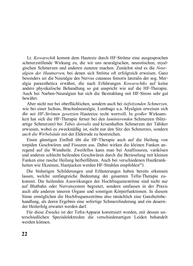Lt. *Kowarschik* kommt dem Hautreiz durch HF-Ströme eine ausgesprochen schmerzstillende Wirkung zu, die wir uns neuralgischen, neurotischen, myalgischen Schmerzen und anderen zunutze machen. Zunächst sind es die Neuralgien der Hautnerven, bei denen sich Ströme oft erfolgreich erweisen. Ganz besonders sei die Neuralgie des Nervus cutaneus femoris lateralis der sog. Meralgia paraesthetica erwähnt, die nach Erfahrungen Kowarschiks auf keine andere physikalische Behandlung so gut anspricht wie auf die HF-Therapie. Auch bei Narben-Neuralgien hat sich die Bestrahlung mit HF-Strom sehr gut hewährt

Aber nicht nur bei oberflächlichen, sondern auch bei tiefsitzenden Schmerzen, wie bei einer Ischias, Brachialneuralgie, Lumbago u.a. Myalgien erweisen sich die mit HF-Strömen gesetzten Hautreize recht wertvoll. In großer Wirksamkeit hat sich die HF-Therapie ferner bei den *laminierenden* Schmerzen (blitzartige Schmerzen) bei Tabes dorsalis und krisenhaften Schmerzen der Tabiker  $e$ erwiesen, wobei es zweckmäßig ist, nicht nur den Sitz des Schmerzes, sondern auch die Wirbelsäule mit der Elektrode zu bestreichen.

Einen günstigen Einfluß übt die HF-Therapie auch auf die Heilung von torpiden Geschwüren und Fissuren aus. Dabei wirken die kleinen Funken anregend auf die Wundteile. Zweifellos kann man bei Analfissuren, varikösen und anderen schlecht heilenden Geschwüren durch die Berieselung mit kleinen Funken eine rasche Heilung herbeiführen. Auch bei verschiedenen Hautkrankheiten wie Ekzemen, Hautjucken werden HF-Strahlen empfohlen"').

Die bisherigen Schilderungen und Erläuterungen haben bereits erkennen lassen, welche umfangreiche Bedeutung der gesamten Tefra-Therapie zukommt. Die heilenden Auswirkungen der Hochfrequenzströme sind nicht nur auf Blutbahn oder Nervensystem begrenzt, sondern umfassen in der Praxis auch alle anderen inneren Organe und sonstigen Körperfunktionen. In diesem Sinne ermöglichen die Hochfrequenzströme also tatsächlich eine Ganzheitsbehandlung, als deren Ergebnis eine sofortige Schmerzlinderung und ein dauernder Heilerfolg erwartet werden darf.

Für diese Zwecke ist der Tefra-Apparat konstruiert worden, mit dessen unterschiedlichen Spezialelektroden die verschiedenartigen Leiden behandelt werden können.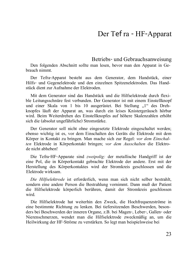### <span id="page-24-0"></span>Der Tef ra - HF-Apparat

Betriebs- und Gebrauchsanweisung

Den folgenden Abschnitt sollte man lesen, bevor man den Apparat in Gebrauch nimmt

Der Tefra-Apparat besteht aus dem Generator, dem Handstück, einer Hilfs- und Gegenelektrode und den einzelnen Spitzenelektroden. Das Handstück dient zur Aufnahme der Elektroden.

Mit dem Generator sind das Handstück und die Hilfselektrode durch flexible Leitungsschnüre fest verbunden. Der Generator ist mit einem Einstellknopf und einer Skala von 1 bis 10 ausgerüstet. Bei Stellung "1" des Drehknopfes läuft der Apparat an, was durch ein leises Knistergeräusch hörbar wird. Beim Weiterdrehen des Einstellknopfes auf höhere Skalenzahlen erhöht sich die (absolut ungefährliche) Stromstärke.

Der Generator soll nicht ohne eingesetzte Elektrode eingeschaltet werden; ebenso wichtig ist es, vor dem Einschalten des Geräts die Elektrode mit dem Körper in Kontakt zu bringen. Man mache sich zur Regel: vor dem Einschal-*Len* Elektrode in Körperkontakt bringen; vor dem Ausschalten die Elektrode nicht abheben!

Die Tefra-HF-Apparate sind zweipolig: der metallische Handgriff ist der eine Pol, die in Körperkontakt gebrachte Elektrode der andere. Erst mit der Herstellung des Körperkontaktes wird der Stromkreis geschlossen und die Elektrode wirksam.

*Die Hilfselektrode* ist erforderlich, wenn man sich nicht selber bestrahlt, sondern eine andere Person die Bestrahlung vornimmt. Dann muß der Patient die Hilfselektrode körperlich berühren, damit der Stromkreis geschlossen wird

Die Hilfselektrode hat weiterhin den Zweck, die Hochfrequenzströme in eine bestimmte Richtung zu lenken. Bei tiefersitzenden Beschwerden, besonders bei Beschwerden der inneren Organe, z.B. bei Magen-, Leber-, Gallen- oder Nierenschmerzen, wendet man die Hilfselektrode zweckmäßig an, um die Heilwirkung der HF-Ströme zu verstärken. So legt man beispielsweise bei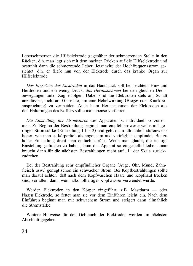Leberschmerzen die Hilfselektrode gegenüber der schmerzenden Stelle in den Rücken, d.h. man legt sich mit dem nackten Rücken auf die Hilfselektrode und bestrahlt dann die schmerzende Leber. Jetzt wird der Hochfrequenzstrom gerichtet, d.h. er fließt nun von der Elektrode durch das kranke Organ zur Hilfselektrode

*Das Einsetzen der Elektroden* in das Handstück soll bei leichtem Hin- und Herdrehen und ein wenig Druck, das Herausnehmen bei den gleichen Drehbewegungen unter Zug erfolgen. Dabei sind die Elektroden stets am Schaft anzufassen, nicht am Glasende, um eine Hebelwirkung (Biege- oder Knickbeanspruchung) zu vermeiden. Auch beim Herausnehmen der Elektroden aus den Halterungen des Koffers sollte man ebenso verfahren.

*Die Einstellung der Stromstärke* des Apparates ist individuell vorzunehmen. Zu Beginn der Bestrahlung beginnt man empfehlenswerterweise mit geringer Stromstärke (Einstellung 1 bis 2) und geht dann allmählich stufenweise höher, wie man es körperlich als angenehm und verträglich empfindet. Bei zu hoher Einstellung dreht man einfach zurück. Wenn man glaubt, die richtige Einstellung gefunden zu haben, kann der Apparat so eingestellt bleiben; man braucht dann für die nächsten Bestrahlungen nicht auf "1" der Skala zurückzudrehen

Bei der Bestrahlung sehr empfindlicher Organe (Auge, Ohr. Mund. Zahnfleisch usw.) genügt schon ein schwacher Strom. Bei Kopfbestrahlungen sollte man darauf achten, daß nach dem Kopfwäschen Haare und Kopfhaut trocken sind, vor allem dann, wenn alkoholhaltiges Kopfwasser verwendet wurde.

Werden Elektroden in den Körper eingeführt. z.B. Mastdarm — oder Nasen-Elektrode, so fettet man sie vor dem Einführen leicht ein. Nach dem  $E$ inführen beginnt man mit schwachem Strom und steigert dann allmählich die Stromstärke

Weitere Hinweise für den Gebrauch der Elektroden werden im nächsten Abschnitt gegeben.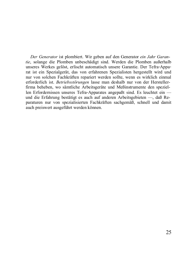*Der Generator* ist plombiert. Wir geben auf den Generator ein Jahr Garan*tie*, solange die Plomben unbeschädigt sind. Werden die Plomben außerhalb unseres Werkes gelöst, erlischt automatisch unsere Garantie. Der Tefra-Apparat ist ein Spezialgerät, das von erfahrenen Spezialisten hergestellt wird und  $\mu$ zur von solchen Fachkräften repariert werden sollte, wenn es wirklich einmal erforderlich ist. Betriebsstörungen lasse man deshalb nur von der Herstellerfirma beheben, wo sämtliche Arbeitsgeräte und Meßinstrumente den speziellen Erfordernissen unseres Tefra-Apparates angepaßt sind. Es leuchtet ein und die Erfahrung bestätigt es auch auf anderen Arbeitsgebieten —, daß Reparaturen nur von spezialisierten Fachkräften sachgemäß, schnell und damit auch preiswert ausgeführt werden können.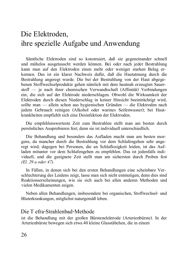### Die Elektroden. ihre spezielle Aufgabe und Anwendung

Sämtliche Elektroden sind so konstruiert, daß sie gegeneinander schnell und mühelos ausgetauscht werden können. Bei oder nach jeder Bestrahlung kann man auf den Elektroden einen mehr oder weniger starken Belag erkennen. Das ist ein klarer Nachweis dafür, daß die Hautatmung durch die Bestrahlung angeregt wurde. Die bei der Bestrahlung von der Haut abgegebenen Stoffwechselprodukte gehen nämlich mit dem hautnah erzeugten Sauer- $\text{stoff}$  ie nach ihrer chemischen Verwandtschaft (Affinität) Verbindungen ein, die sich auf der Elektrode niederschlagen. Obwohl die Wirksamkeit der Elektroden durch diesen Niederschlag in keiner Hinsicht beeinträchtigt wird. sollte man — allein schon aus hygienischen Gründen — die Elektroden nach jedem Gebrauch reinigen (Alkohol oder warmes Seifenwasser); bei Hautkrankheiten empfiehlt sich eine Desinfektion der Elektroden.

Die empfehlenswerteste Zeit zum Bestrahlen stellt man am besten durch persönliches Ausprobieren fest; denn sie ist individuell unterschiedlich.

Die Behandlung und besonders das Aufladen macht man am besten morgens, da mancher durch die Bestrahlung vor dem Schlafengehen sehr angeregt wird; dagegen bei Personen, die an Schlaflosigkeit leiden, ist das Aufladen mitunter vor dem Schlafengehen zu empfehlen. Das ist jedenfalls individuell, und die geeignete Zeit stellt man am sichersten durch Proben fest *(El. 29 a oder 47).* 

In Fällen, in denen sich bei den ersten Behandlungen eine scheinbare Verschlechterung des Leidens zeigt. Jasse man sich nicht entmutigen, denn dies sind Reaktionserscheinungen, wie sie sich auch bei allen anderen Methoden und vielen Medikamenten zeigen.

Neben allen Behandlungen, insbesondere bei organischen, Stoffwechsel- und Bluterkrankungen, möglichst naturgemäß leben.

#### Die Tefra-Strahlenbad-Methode

ist die Behandlung mit der großen Bürstenelektrode (Arterienbürste). In der Arterienbürste bewegen sich etwa 40 kleine Glasstäbchen, die in einem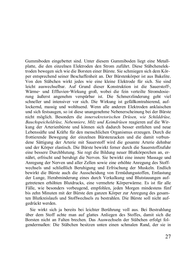Gummiboden eingebettet sind. Unter diesem Gummiboden liegt eine Metall- $\mathbf{R}$ blatte, die den einzelnen Elektroden den Strom zuführt. Diese Stäbchenelektroden bewegen sich wie die Borsten einer Bürste. Sie schmiegen sich dem Körper entsprechend seiner Beschaffenheit an. Der Bürstenkörper ist aus Bakelite.  $\overline{V}$ on den Stäbchen wirkt iedes wie eine kleine Elektrode für sich. Sie sind  $\Delta$ leicht auswechselbar. Auf Grund dieser Konstruktion ist die Sauerstoff-Wärme- und Effluvien-Wirkung groß, wobei die fein verteilte Stromdosierung äußerst angenehm verspürbar ist. Die Schmerzlinderung geht viel schneller und intensiver vor sich. Die Wirkung ist gefäßkontrahierend, auflockernd, massig und wohltuend. Wenn alle anderen Elektroden anklaischen und sich festsaugen, so ist diese unangenehme Nebenerscheinung bei der Bürste  $n$ icht möglich. Besonders die *innersekretorischen Drüsen*, wie Schilddrüse, Bauchspeicheldrüse, Nebenniere, Milz und Keimdrüsen reagieren auf die Wirkung der Arterienbürste und können sich dadurch besser entfalten und neue Lebenssäfte und Kräfte für den menschlichen Organismus erzeugen. Durch die frottierende Bewegung der einzelnen Bürstenzacken und die damit verbundene Sättigung der Arterie mit Sauerstoff wird die gesamte Arterie dehnbar und der Körper elastisch. Die Bürste bewirkt ferner durch die Sauerstoffzufuhr eine bessere Durchblutung. Sie regt die Bildung neuer Blutkörperchen an, ernährt, erfrischt und beruhigt die Nerven. Sie bewirkt eine innere Massage und Anregung der Nerven und aller Zellen sowie eine erhöhte Anregung des Stoffwechsels und schließlich Beruhigung und Erfrischung der Muskeln. Endlich bewirkt die Bürste auch die Ausscheidung von Ermüdungsstoffen, Entlastung der Lunge, Herabminderung eines durch Verkalkung und Blutstauungen aufgetretenen erhöhten Blutdrucks, eine vermehrte Körperwärme. Es ist für alle Fälle, wie besonders vorbeugend, empfohlen, jeden Morgen mindestens fünf bis zehn Minuten mit der Bürste den ganzen Körper zur Anregung des gesamten Blutkreislaufs und Stoffwechsels zu bestrahlen. Die Bürste soll nicht aufgedrückt werden.

Sie wirkt sich ja bereits bei leichter Berührung voll aus. Bei Bestrahlung über dem Stoff achte man auf glattes Anliegen des Stoffes, damit sich die Borsten nicht an Falten brechen. Das Auswechseln der Stäbchen erfolgt folgendermaßen: Die Stäbchen besitzen unten einen schmalen Rand, der sie in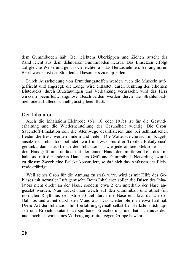dem Gummiboden hält. Bei leichtem Uberkinnen und Ziehen rutscht der Rand leicht aus dem dehnbaren Gummiboden heraus. Das Einsetzen erfolgt auf gleiche Weise und geht noch leichter als das Herausnehmen. Bei anginösen Beschwerden ist das Strahlenbad besonders zu empfehlen.

Durch Ausscheidung von Ermüdungsstoffen werden auch die Muskeln aufgefrischt und angeregt; die Lunge wird entlastet; durch Senkung des erhöhten Blutdrucks, durch Blutstauungen und Verkalkung verursacht, wird das Herz wirksam beeinflußt; anginöse Beschwerden werden durch die Strahlenbadmethode auffallend schnell günstig beeinflußt.

#### Der Inhalator

Auch die Inhalations-Elektrode (Nr. 10 oder 101b) ist für die Gesunderhaltung und die Wiederherstellung der Gesundheit wichtig. Die Ozon-Sauerstoff-Inhalation soll die Atemwege desinfizieren und bei asthmatischen Leiden die Beschwerden lindern und heilen. Die Watte, welche sich im Kugelansatz des Inhalators befindet, wird mit zwei bis drei Tropfen Eukalyptusöl getränkt; dann steckt man den Inhalator — wie jede andere Elektrode — in den Handgriff und umfaßt mit der einen Hand den mittleren Teil des Inhalators, mit der anderen Hand den Griff und Gummiball. Neuerdings wurde zu diesem Zweck eine Brücke konstruiert, so daß sich das Anfassen der Elektrode erübrigt.

Weil reines Ozon für die Atmung zu stark wäre, wird es mit Hilfe des Gebläses mit normaler Luft gemischt. Beim Inhalieren sollen die Düsen des Inhalators nicht direkt an der Nase, sondern etwa 2 cm unterhalb der Nase angesetzt werden. Nun drückt man weich auf den Gummiball und atmet (im normalen Rhythmus des Atmens) tief durch die Nase ein. läßt danach den Ball los und atmet durch den Mund aus. Das wiederhole man etwa fünfmal. Diese Art der Inhalation führt erfahrungsgemäß selbst bei stärkstem Schnupfen und Bronchialkatarrh zu spürbarer Erleichterung und hat sich außerdem auch noch als wirksames Vorbeugungsmittel gegen Grippe bewährt.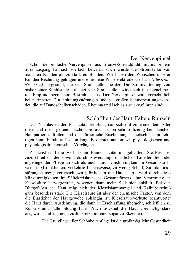#### Der Nervenpinsel

Schon der einfache Nervenpinsel aus Bronze-Spezialdraht mit nur einem Stromausgang hat sich vielfach bewährt, doch wurde die Stromstärke von manchen Kunden als zu stark empfunden. Wir haben den Wünschen unserer Kunden Rechnung getragen und eine neue Pinselelektrode vierfach (Elektrode *Nr. 57 a)* hergestellt, die vier Strahlstellen besitzt. Die Stromverteilung von bisher einer Strahlstelle auf jetzt vier Strahlstellen wirkt sich in angenehmeren Empfindungen beim Bestrahlen aus. Der Nervenpinsel wird vornehmlich bei peripheren Durchblutungsstörungen und bei großen Schmerzen angewendet, die auf Bandscheibenschäden, Rheuma und Ischias zurückzuführen sind.

### Schlaffheit der Haut, Falten, Runzeln

Das Nachlassen der Elastizität der Haut, das sich mit zunehmendem Alter mehr und mehr geltend macht, aber auch schon sehr frühzeitig bei manchen Hautpartien auftreten und die körperliche Erscheinung ästhetisch beeinträchtigen kann, beruht auf schon lange bekannten anatomisch-physiologischen und physiologisch-chemischen Vorgängen.

Zunächst sind die Verluste an Hautelastizität mangelhaftem Stoffwechsel zuzuschreiben, der sowohl durch Anwendung schädlicher Toilettemittel oder ungenügender Pflege an sich als auch durch Unstimmigkeit im Gesamtstoffwechsel (Krankheiten, verkehrte Lebensweise, zu wenig Schlaf, Zirkulationsstörungen usw.) verursacht wird, örtlich in der Haut selbst wird durch diese Mißstimmigkeiten im Säftekreislauf des Gesamtkörpers eine Verarmung an Kieselsäure hervorgerufen, wogegen dann mehr Kalk sich anhäuft. Bei den Blutgefäßen der Haut zeigt sich der Kieselsäuremangel und Kalküberschuß ganz besonders stark. Die Kieselsäure ist aber der chemische Faktor, von dem die Elastizität der Hautgewebe abhängig ist. Kieselsäureverluste beantwortet die Haut durch Ausdehnung, die dann in Erschlaffung übergeht, schließlich zu Runzel- und Faltenbildung führt. Auch trocknet die Haut übermäßig stark aus, wird schilfrig, neigt zu Juckreiz, mitunter sogar zu Ekzemen.

Die Grundlage aller Schönheitspflege ist die größtmögliche Gesundheit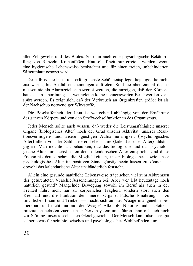aller Zellgewebe und des Blutes. So kann auch eine physiologische Bekämpfung von Runzeln, Krähenfüßen, Hautschlaffheit nur erreicht werden, wenn eine hygienische Lebensweise beobachtet und für einen freien, unbehinderten Säfteumlauf gesorgt wird.

Deshalb ist die beste und erfolgreichste Schönheitspflege diejenige, die nicht erst wartet, bis Ausfallserscheinungen auftreten. Sind sie aber einmal da, so müssen sie als Alarmzeichen bewertet werden, die anzeigen, daß der Körperhaushalt in Unordnung ist, wenngleich keine nennenswerten Beschwerden verspürt werden. Es zeigt sich, daß der Verbrauch an Organkräften größer ist als der Nachschub notwendiger Wirkstoffe.

Die Beschaffenheit der Haut ist weitgehend abhängig von der Ernährung des ganzen Körpers und von den Stoffwechselfunktionen des Organismus.

Jeder Mensch sollte auch wissen, daß weder die Leistungsfähigkeit unserer Organe (biologisches Alter) noch der Grad unserer Aktivität, unseres Reaktionsvermögens und unserer geistigen Aufnahmefähigkeit (psychologisches Alter) allein von der Zahl unserer Lebensjahre (kalendarisches Alter) abhängig ist. Man möchte fast behaupten, daß das biologische und das psychologische Alter nur höchst selten dem kalendarischen Alter entspricht. Und diese Erkenntnis deutet schon die Möglichkeit an, unser biologisches sowie unser  $p$ sychologisches Alter im positiven Sinne günstig beeinflussen zu können obwohl das kalendarische Alter unabänderlich feststeht.

Allein eine gesunde natürliche Lebensweise trägt schon viel zum Abbremsen der gefürchteten Verschleißerscheinungen bei. Aber wer lebt heutzutage noch natürlich gesund? Mangelnde Bewegung sowohl im Beruf als auch in der Freizeit führt nicht nur zu körperlicher Trägheit, sondern stört auch den Kreislauf und die Funktion der inneren Organe. Falsche Ernährung — zu reichliches Essen und Trinken — macht sich auf der Waage unangenehm bemathemology and the control of the control of the control of the control of the control of the control of the method of the control of the control of the control of the control of the control of the control of the control mißbrauch belasten zuerst unser Nervensystem und führen dann oft auch noch zur Störung unseres seelischen Gleichgewichts. Der Mensch kann also sehr gut selber etwas für sein biologisches und psychologisches Wohlbefinden tun;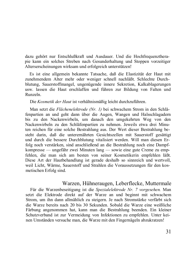dazu gehört nur Entschlußkraft und Ausdauer. Und die Hochfrequenztherapie kann ein solches Streben nach Gesunderhaltung und Stoppen vorzeitiger Alterserscheinungen wirksam und erfolgreich unterstützen!

Es ist eine allgemein bekannte Tatsache, daß die Elastizität der Haut mit zunehmendem Alter mehr oder weniger schnell nachläßt. Schlechte Durchblutung, Sauerstoffmangel, ungenügende innere Sekretion, Kalkablagerungen usw. lassen die Haut erschlaffen und führen zur Bildung von Falten und Runzeln

Die Kosmetik der Haut ist verhältnismäßig leicht durchzuführen.

Man setzt die Flächenelektrode (Nr. 1) bei schwachem Strom in den Schläfenpartien an und geht dann über die Augen, Wangen und Halsschlagadern bis zu den Nackenwirbeln, um danach den umgekehrten Weg von den Nackenwirbeln zu den Schläfenpartien zu nehmen. Jeweils etwa drei Minuten reichen für eine solche Bestrahlung aus. Der Wert dieser Bestrahlung besteht darin, daß die unterernährten Gesichtszellen mit Sauerstoff gesättigt und durch die bessere Durchblutung vitalisiert werden. Will man diesen Erfolg noch verstärken, sind anschließend an die Bestrahlung noch eine Dampfkompresse — ungefähr zwei Minuten  $\text{lang}$  — sowie eine gute Creme zu empfehlen, die man sich am besten von seiner Kosmetikerin empfehlen läßt. Diese Art der Hautbehandlung ist gerade deshalb so sinnreich und wertvoll. weil Licht. Wärme, Sauerstoff und Strahlen die Voraussetzungen für den kosmetischen Erfolg sind.

### Warzen, Hühneraugen, Leberflecke, Muttermale

Für die Warzenbeseitigung ist die Spezialelektrode Nr. 7 vorgesehen. Man setzt die Elektrode direkt auf der Warze an und beginnt mit schwachem Strom, um ihn dann allmählich zu steigern. Je nach Stromstärke verfärbt sich die Warze bereits nach 20 bis 30 Sekunden. Sobald die Warze eine weißliche Färbung angenommen hat, kann man die Bestrahlung beenden. Ein kleiner Schutzverband ist zur Vermeidung von Infektionen zu empfehlen. Unter kei-Notes and the second of the contraction of the complete and the complete of the contract of the Contract ophermal of the Warze mit den Fingernägeln abzukratzen!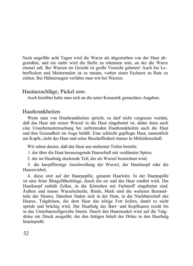Nach ungefähr acht Tagen wird die Warze als abgestorben von der Haut abgestoßen, und nie mehr wird die Stelle zu erkennen sein, an der die Warze SERVEREN, WHE HIS WARD THE STATE OF DISTURBANCE SOMETIME THE CONTROL OF THE STATE OF THE CONTROL OF THE CONTROL OF THE CONTROL OF THE CONTROL OF THE CONTROL OF THE CONTROL OF THE CONTROL OF THE CONTROL OF THE CONTROL OF TH berflecken und Muttermalen ist es ratsam, vorher einen Facharzt zu Rate zu ziehen. Bei Hühneraugen verfahre man wie bei Warzen.

#### Hautausschläge, Pickel usw.

Auch hierüber halte man sich an die unter Kosmetik gemachten Angaben.

#### Haarkrankheiten

Wenn man von Haarkrankheiten spricht, so darf nicht vergessen werden, daß das Haar mit seiner Wurzel in die Haut eingebettet ist, daher denn auch eine Ursachenuntersuchung bei auftretenden Haarkrankheiten auch die Haut und ihre Gesundheit im Auge behält. Eine schlecht gepflegte Haut, namentlich am Kopfe, zieht das Haar und seine Beschaffenheit immer in Mitleidenschaft.

Wir sehen daraus, daß das Haar aus mehreren Teilen besteht:

1. der über die Haut herausragende Haarschaft mit verdünnter Spitze,

2, der im Haarbalg steckende Teil, der als Wurzel bezeichnet wird,

3. die knopfförmige Anschwellung der Wurzel, der Haarknopf oder die Haarzwiebel.

4. diese sitzt auf der Haarpapille, genannt Haarleim. In der Haarpapille ist eine feine Blutgefäßschlinge, durch die sie und das Haar ernährt wird. Der Haarknopf enthält Zellen, in die Körnchen mit Farbstoff eingebettet sind. Äußere und innere Wurzelscheide, Rinde, Mark sind die weiteren Bestandteile des Haares. Daneben finden sich in der Haut, in der Nachbarschaft des Haares, Talgdrüsen, die dem Haar das nötige Fett liefern, damit es nicht spröde und brüchig wird. Der Haarbalg des Bart- und Kopfhaares reicht bis in das Unterhautzellgewebe hinein. Durch den Haarmuskel wird auf die Talgdrüse ein Druck ausgeübt, der den fettigen Inhalt der Drüse in den Haarbalg hineinpreßt.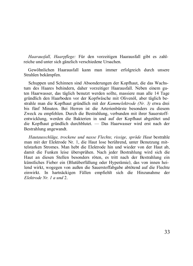*Haarausfall, Haarpflege:* Für den vorzeitigen Haarausfall gibt es zahlreiche und unter sich gänzlich verschiedene Ursachen.

Gewöhnlichen Haarausfall kann man immer erfolgreich durch unsere Strahlen bekämnfen.

Schuppen und Schinnen sind Absonderungen der Kopfhaut, die das Wachstum des Haares behindern, daher vorzeitiger Haarausfall. Neben einem guten Haarwasser, das täglich benutzt werden sollte, massiere man alle 14 Tage gründlich den Haarboden vor der Kopfwäsche mit Olivenöl, aber täglich bestrahle man die Kopfhaut gründlich mit der *Kammelektrode (Nr. 3)* etwa drei bis fünf Minuten. Bei Herren ist die Arterienbürste besonders zu diesem Zweck zu empfehlen. Durch die Bestrahlung, verbunden mit ihrer Sauerstoffentwicklung, werden die Bakterien in und auf der Kopfhaut abgetötet und die Kopfhaut gründlich durchblutet. - Das Haarwasser wird erst nach der Bestrahlung angewandt.

*Hautausschläge, trockene und nasse Flechte, rissige, spröde Haut bestrahle* man mit der Elektrode Nr. 1, die Haut lose berührend, unter Benutzung mittelstarken Stromes. Man hebt die Elektrode hin und wieder von der Haut ab, damit die Funken leise übersprühen. Nach jeder Bestrahlung wird sich die Haut an diesen Stellen besonders röten, es tritt nach der Bestrahlung ein künstliches Fieber ein (Blutüberfüllung oder Hyperämie), das von innen heilend wirkt, wogegen von außen die Sauerstoffabgabe abtötend auf die Flechte einwirkt. In hartnäckigen Fällen empfiehlt sich die Hinzunahme der *Flektrode Nr. 1 a und* 2.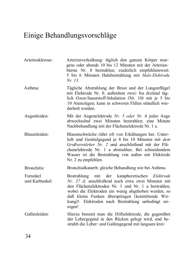### <span id="page-35-0"></span>Einige Behandlungsvorschläge

| Arteriosklerose:           | Arterienverkalkung: täglich den ganzen Körper mor-<br>gens oder abends 10 bis 12 Minuten mit der Arterien-<br>bürste Nr. 8 bestrahlen; zusätzlich empfehlenswert:<br>5 bis 6 Minuten Halsbestrahlung mit Hals-Elektrode<br>Nr. 13.                                                                                                    |
|----------------------------|---------------------------------------------------------------------------------------------------------------------------------------------------------------------------------------------------------------------------------------------------------------------------------------------------------------------------------------|
| Asthma:                    | Tägliche Abstrahlung der Brust und der Lungenflügel<br>mit Elektrode Nr. 8; außerdem zwei- bis dreimal täg-<br>lich Ozon-Sauerstoff-Inhalation (Nr. 10) mit je 5 bis<br>10 Atemzügen; kann in schweren Fällen stündlich wie-<br>derholt werden.                                                                                       |
| Augenleiden:               | Mit der Augenelektrode Nr. 5 oder Nr. 6 jedes Auge<br>abwechselnd zwei Minuten bestrahlen; eine Minute<br>Nachbehandlung mit der Flächenelektrode Nr. 1 a.                                                                                                                                                                            |
| Blasenleiden:              | Blasenschwäche rührt oft von Erkältungen her. Unter-<br>leib und Genitalgegend je 8 bis 10 Minuten mit dem<br>Großverstärker Nr. 2 und anschließend mit der Flä-<br>chenelektrode Nr. 1 a abstrahlen. Bei schneidendem<br>Wasser ist die Bestrahlung von außen mit Elektrode<br>Nr. 2 zu empfehlen.                                   |
| Bronchitis:                | Bronchialkatarrh: gleiche Behandlung wie bei Asthma.                                                                                                                                                                                                                                                                                  |
| Furunkel<br>und Karbunkel: | Bestrahlung mit der kataphoretischen Elektrode<br>Nr. 37 d; anschließend noch etwa zwei Minuten mit<br>den Flächenelektroden Nr. 1 und Nr. 1 a bestrahlen,<br>wobei die Elektroden ein wenig abgehoben werden, so<br>daß kleine Funken überspringen (keimtötende Wir-<br>kung)!. Elektroden nach Bestrahlung unbedingt rei-<br>nigen! |
| Gallenleiden:              | Hierzu benutzt man die Hilfselektrode, die gegenüber<br>der Lebergegend in den Rücken gelegt wird, und be-<br>strahlt die Leber- und Gallengegend mit langsam krei-                                                                                                                                                                   |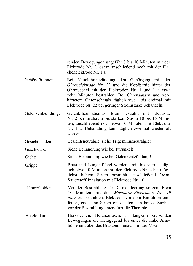senden Bewegungen ungefähr  $8$  bis  $10$  Minuten mit der Elektrode Nr. 2, daran anschließend noch mit der Flä- $\alpha$ chenelektrode Nr 1 a

Gehörstörungen: Bei Mittelohrentzündung den Gehörgang mit der *Ohrenelektrode Nr. 22* und die Kopfpartie hinter der Ohrmuschel mit den Elektroden Nr. 1 und 1 a etwa  $zehn$  Minuten bestrahlen. Bei Ohrensausen und verhärtetem Ohrenschmalz täglich zwei- bis dreimal mit Elektrode Nr. 22 bei geringer Stromstärke behandeln.

Gelenkentzündung; Gelenkrheumatismus: Man bestrahlt mit Elektrode Nr. 2 bei mittlerem bis starkem Strom 10 bis 15 Minuten, anschließend noch etwa 10 Minuten mit Elektrode Nr. 1 a: Behandlung kann täglich zweimal wiederholt werden

Gesichtsleiden: Gesichtsneuralgie, siehe Trigeminusneuralgie!

Geschwüre: Siehe Behandlung wie bei Furunkel!

Gicht: Siehe Behandlung wie bei Gelenkentzündung!

Grippe: Brust und Lungenflügel werden drei- bis viermal täglich etwa 10 Minuten mit der Elektrode Nr. 2 bei möglichst hohem Strom bestrahlt: anschließend Ozon-Sauerstoff-Inhalation mit Elektrode Nr. 10.

Hämorrhoiden: Vor der Bestrahlung für Darmentleerung sorgen! Etwa 10 Minuten mit den Mastdarm-Elektroden Nr 19 *oder 20* bestrahlen: Elektrode vor dem Einführen einfetten, erst dann Strom einschalten: ein heißes Sitzbad vor der Bestrahlung unterstützt die Therapie.

Herzleiden: Herzstechen, Herzneurosen: In langsam kreisenden Bewegungen die Herzgegend bis unter die linke Armhöhle und über das Brustbein hinaus mit der *Herz*-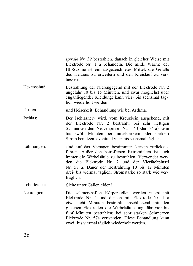|              | spirale Nr. 32 bestrahlen, danach in gleicher Weise mit<br>Elektrode Nr. 1 a behandeln. Die milde Wärme der<br>HF-Ströme ist ein ausgezeichnetes Mittel, die Gefäße<br>des Herzens zu erweitern und den Kreislauf zu ver-<br>bessern.                                                                                                                                            |
|--------------|----------------------------------------------------------------------------------------------------------------------------------------------------------------------------------------------------------------------------------------------------------------------------------------------------------------------------------------------------------------------------------|
| Hexenschuß:  | Bestrahlung der Nierengegend mit der Elektrode Nr. 2<br>ungefähr 10 bis 15 Minuten, und zwar möglichst über<br>enganliegender Kleidung; kann vier- bis sechsmal täg-<br>lich wiederholt werden!                                                                                                                                                                                  |
| Husten       | und Heiserkeit: Behandlung wie bei Asthma.                                                                                                                                                                                                                                                                                                                                       |
| Ischias:     | Der Ischiasnerv wird, vom Kreuzbein ausgehend, mit<br>der Elektrode Nr. 2 bestrahlt; bei sehr heftigen<br>Schmerzen den Nervenpinsel Nr. 57 (oder 57 a) zehn<br>bis zwölf Minuten bei mittelstarkem oder starkem<br>Strom benutzen, eventuell vier- bis sechsmal täglich.                                                                                                        |
| Lähmungen:   | sind auf das Versagen bestimmter Nerven zurückzu-<br>führen. Außer den betroffenen Extremitäten ist auch<br>immer die Wirbelsäule zu bestrahlen. Verwendet wer-<br>den die Elektrode Nr. 2 und der Vierfachpinsel<br>Nr. 57 a. Dauer der Bestrahlung 10 bis 12 Minuten<br>drei- bis viermal täglich; Stromstärke so stark wie ver-<br>träglich.                                  |
| Leberleiden: | Siehe unter Gallenleiden!                                                                                                                                                                                                                                                                                                                                                        |
| Neuralgien:  | Die schmerzhaften Körperstellen werden zuerst mit<br>Elektrode Nr. 1 und danach mit Elektrode Nr. 1 a<br>etwa acht Minuten bestrahlt, anschließend mit den<br>gleichen Elektroden die Wirbelsäule ungefähr vier bis<br>fünf Minuten bestrahlen; bei sehr starken Schmerzen<br>Elektrode Nr. 57a verwenden. Diese Behandlung kann<br>zwei- bis viermal täglich wiederholt werden. |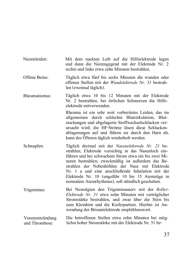- Nierenleiden: Mit dem nackten Leib auf die Hilfselektrode legen und dann die Nierengegend mit der Elektrode Nr. 2  $rechts$  und links etwa zehn Minuten bestrahlen.
- Offene Beine: Täglich etwa fünf bis sechs Minuten die wunden oder offenen Stellen mit der Wundelektrode Nr. 31 bestrahlen (zweimal täglich).
- Rheumatismus: Täglich etwa 10 bis 12 Minuten mit der Elektrode Nr. 2 bestrahlen, bei örtlichen Schmerzen die Hilfselektrode mitverwenden

Rheuma ist ein sehr weit verbreitetes Leiden, das im allgemeinen durch schlechte Blutzirkulation, Blutstockungen und abgelagerte Stoffwechselschlacken verursacht wird; die HF-Ströme lösen diese Schlackenablagerungen auf und führen sie durch den Harn ab, kann des Öfteren täglich wiederholt werden.

- Schnupfen: Täglich dreimal mit der Nasenelektrode Nr. 21 bestrahlen; Elektrode vorsichtig in das Nasenloch einführen und bei schwachem Strom etwa ein bis zwei Minuten bestrahlen; zweckmäßig ist außerdem das Bestrahlen der Nebenhöhlen der Nase mit Elektrode  $Nr$  1 a und eine anschließende Inhalation mit der Elektrode Nr.  $10$  (ungefähr  $10$  bis  $15$  Atemzüge in normalem Atemrhythmus), soll stündlich geschehen.
- Trigeminus: Bei Neuralgien den Trigeminusnerv mit der Roller-*Elektrode Nr. 31* etwa zehn Minuten mit verträglicher Stromstärke bestrahlen, und zwar über die Stirn bis zum Kleinhirn und die Kieferpartien. Hierbei ist Anwendung der Brisantelektrode empfehlenswert.
- Venenentzündung und Thrombose: Die betroffenen Stellen etwa zehn Minuten bei möglichst hoher Stromstärke mit der Elektrode Nr. 51 be-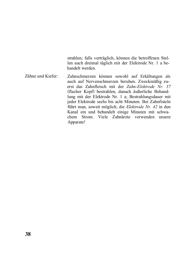strahlen; falls verträglich, können die betroffenen Stellen auch dreimal täglich mit der Elektrode Nr. 1 a behandelt werden.

Zähne und Kiefer: Zahnschmerzen können sowohl auf Erkältungen als auch auf Nervenschmerzen beruhen. Zweckmäßig zuerst das Zahnfleisch mit der Zahn-*Elektrode Nr* 37 (flacher Kopf) bestrahlen, danach äußerliche Behandlung mit der Elektrode Nr. 1 a; Bestrahlungsdauer mit jeder Elektrode sechs bis acht Minuten. Bei Zahnfisteln führt man, soweit möglich, die Elektrode Nr. 42 in den Kanal ein und behandelt einige Minuten mit schwachem Strom. Viele Zahnärzte verwenden unsere Apparate!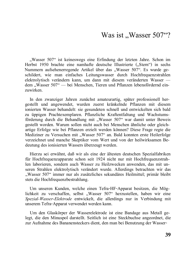### Was ist ..Wasser 507"?

"Wasser 507" ist keineswegs eine Erfindung der letzten Jahre. Schon im Herbst 1950 brachte eine namhafte deutsche Illustrierte ("Stern") in sechs Nummern aufsehenerregende Artikel über das "Wasser 507". Es wurde geschildert, wie man einfaches Leitungswasser durch Hochfrequenzstrahlen  $s$ elektrolvtisch verändern kann, um dann mit diesem veränderten Wasser dem "Wasser 507" — bei Menschen, Tieren und Pflanzen lebensfördernd einzuwirken

In den zwanziger Jahren zunächst amateurartig, später professionell hergestellt und angewendet, wurden zuerst kränkelnde Pflanzen mit diesem ionierten Wasser behandelt: sie gesundeten schnell und entwickelten sich bald zu üppigen Prachtexemplaren, Pflanzliche Kraftentfaltung und Wachstumsförderung durch die Behandlung mit "Wasser 507" war damit unter Beweis gestellt worden. Warum sollen nicht auch bei Menschen ähnliche oder gleichartige Erfolge wie bei Pflanzen erzielt werden können? Diese Frage regte die Mediziner zu Versuchen mit "Wasser 507" an. Bald konnten erste Heilerfolge verzeichnet und manche Skeptiker vom Wert und von der heilwirksamen Bedeutung des ionisierten Wassers überzeugt werden.

Hierzu sei erwähnt, daß wir als eine der ältesten deutschen Spezialfabriken für Hochfrequenzapparate schon seit 1924 nicht nur mit Hochfrequenzstrahlen laborieren, sondern auch Wasser zu Heilzwecken anwenden, das mit unseren Strahlen elektrolytisch verändert wurde. Allerdings betrachten wir das "Wasser 507" immer nur als zusätzliches sekundäres Heilmittel; primär bleibt stets die Hochfrequenzbestrahlung.

Um unseren Kunden, welche einen Tefra-HF-Apparat besitzen, die Möglichkeit zu verschaffen, selbst "Wasser 507" herzustellen, haben wir eine *Spezial-Wasser-Elektrode* entwickelt, die allerdings nur in Verbindung mit unserem Tefra-Apparat verwendet werden kann.

Um den Glaskörper der Wasserelektrode ist eine Bandage aus Metall gelegt, die den Minuspol darstellt. Seitlich ist eine Steckbuchse angeordnet, die zur Aufnahme des Bananensteckers dient, den man bei Benutzung der Wasser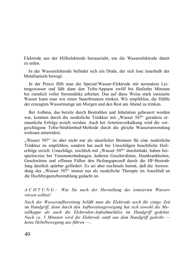Elektrode aus der Hilfselektrode herauszieht, um die Wasserelektrode damit zu erden

In der Wasserelektrode befindet sich ein Draht, der sich lose innerhalb der Metallspirale bewegt.

In der Praxis füllt man die Spezial-Wasser-Elektrode mit normalem Leitungswasser und läßt dann den Tefra-Apparat zwölf bis fünfzehn Minuten bei ziemlich voller Stromstärke arbeiten. Das auf diese Weise stark ionisierte Wasser kann man wie einen Sauerbrunnen trinken. Wir empfehlen, die Hälfte der erzeugten Wassermenge am Morgen und den Rest am Abend zu trinken.

Bei Asthma, das bereits durch Bestrahlen und Inhalation gebessert worden war, konnten durch die zusätzliche Trinkkur mit "Wasser 507" geradezu erstaunliche Erfolge erzielt werden. Auch bei Arterienverkalkung wird die vorgeschlagene Tefra-Strahlenbad-Methode durch die gleiche Wasseranwendung wirksam unterstützt.

. Wasser  $507$ <sup>"</sup> ist aber nicht nur als säuerlicher Brunnen für eine zusätzliche Trinkkur zu empfehlen, sondern hat auch bei Umschlägen beachtliche Heilerfolge erzielt. Umschläge, reichlich mit "Wasser 507" durchtränkt, haben bei $s$ psielsweise bei Venenentzündungen, äußeren Geschwülsten. Hautkrankheiten. Geschwüren und offenen Füßen den Heilungsprozeß durch die HF-Bestrahlung deutlich spürbar gefördert. Es sei aber nochmals betont, daß die Anwendung des "Wasser 507" immer nur als zusätzliche Therapie im Anschluß an die Hochfrequenzbestrahlung gedacht ist.

*A CHTUNG: Was Sie nach der Herstellung des ionisierten Wassers*  $wissen$ *sollten!* 

Nach der Wasseraufbereitung beläßt man die Elektrode noch für einige Zeit *im Handgriff, denn durch den Aufbereitungsvorgang hat sich sowohl die Me*tallkappe als auch die Elektroden-Aufnahmehülse im Handgriff gedehnt. *Nach* ca. 5 Minuten wird die Elektrode sanft aus dem Handgriff gedreht —<br>keine Hebelbewegung aus führen —.